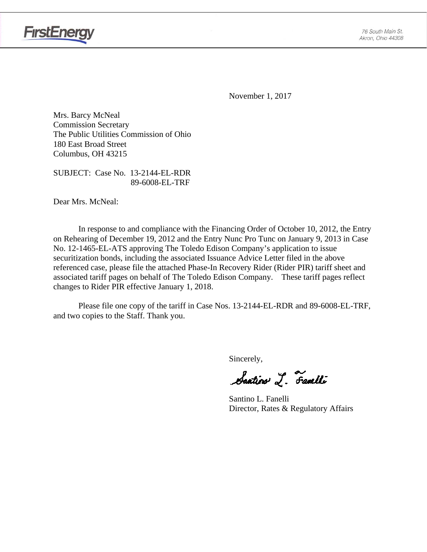

November 1, 2017

Mrs. Barcy McNeal Commission Secretary The Public Utilities Commission of Ohio 180 East Broad Street Columbus, OH 43215

SUBJECT: Case No. 13-2144-EL-RDR 89-6008-EL-TRF

Dear Mrs. McNeal:

**FirstEnergy** 

In response to and compliance with the Financing Order of October 10, 2012, the Entry on Rehearing of December 19, 2012 and the Entry Nunc Pro Tunc on January 9, 2013 in Case No. 12-1465-EL-ATS approving The Toledo Edison Company's application to issue securitization bonds, including the associated Issuance Advice Letter filed in the above referenced case, please file the attached Phase-In Recovery Rider (Rider PIR) tariff sheet and associated tariff pages on behalf of The Toledo Edison Company. These tariff pages reflect changes to Rider PIR effective January 1, 2018.

Please file one copy of the tariff in Case Nos. 13-2144-EL-RDR and 89-6008-EL-TRF, and two copies to the Staff. Thank you.

Sincerely,

Saatin I. Familli

 Santino L. Fanelli Director, Rates & Regulatory Affairs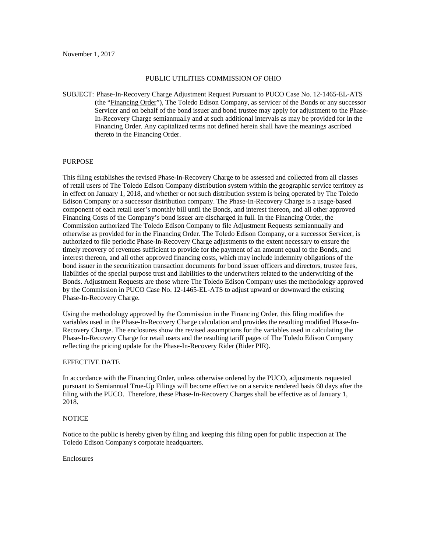#### PUBLIC UTILITIES COMMISSION OF OHIO

SUBJECT: Phase-In-Recovery Charge Adjustment Request Pursuant to PUCO Case No. 12-1465-EL-ATS (the "Financing Order"), The Toledo Edison Company, as servicer of the Bonds or any successor Servicer and on behalf of the bond issuer and bond trustee may apply for adjustment to the Phase-In-Recovery Charge semiannually and at such additional intervals as may be provided for in the Financing Order. Any capitalized terms not defined herein shall have the meanings ascribed thereto in the Financing Order.

#### PURPOSE

This filing establishes the revised Phase-In-Recovery Charge to be assessed and collected from all classes of retail users of The Toledo Edison Company distribution system within the geographic service territory as in effect on January 1, 2018, and whether or not such distribution system is being operated by The Toledo Edison Company or a successor distribution company. The Phase-In-Recovery Charge is a usage-based component of each retail user's monthly bill until the Bonds, and interest thereon, and all other approved Financing Costs of the Company's bond issuer are discharged in full. In the Financing Order, the Commission authorized The Toledo Edison Company to file Adjustment Requests semiannually and otherwise as provided for in the Financing Order. The Toledo Edison Company, or a successor Servicer, is authorized to file periodic Phase-In-Recovery Charge adjustments to the extent necessary to ensure the timely recovery of revenues sufficient to provide for the payment of an amount equal to the Bonds, and interest thereon, and all other approved financing costs, which may include indemnity obligations of the bond issuer in the securitization transaction documents for bond issuer officers and directors, trustee fees, liabilities of the special purpose trust and liabilities to the underwriters related to the underwriting of the Bonds. Adjustment Requests are those where The Toledo Edison Company uses the methodology approved by the Commission in PUCO Case No. 12-1465-EL-ATS to adjust upward or downward the existing Phase-In-Recovery Charge.

Using the methodology approved by the Commission in the Financing Order, this filing modifies the variables used in the Phase-In-Recovery Charge calculation and provides the resulting modified Phase-In-Recovery Charge. The enclosures show the revised assumptions for the variables used in calculating the Phase-In-Recovery Charge for retail users and the resulting tariff pages of The Toledo Edison Company reflecting the pricing update for the Phase-In-Recovery Rider (Rider PIR).

#### EFFECTIVE DATE

In accordance with the Financing Order, unless otherwise ordered by the PUCO, adjustments requested pursuant to Semiannual True-Up Filings will become effective on a service rendered basis 60 days after the filing with the PUCO. Therefore, these Phase-In-Recovery Charges shall be effective as of January 1, 2018.

#### **NOTICE**

Notice to the public is hereby given by filing and keeping this filing open for public inspection at The Toledo Edison Company's corporate headquarters.

Enclosures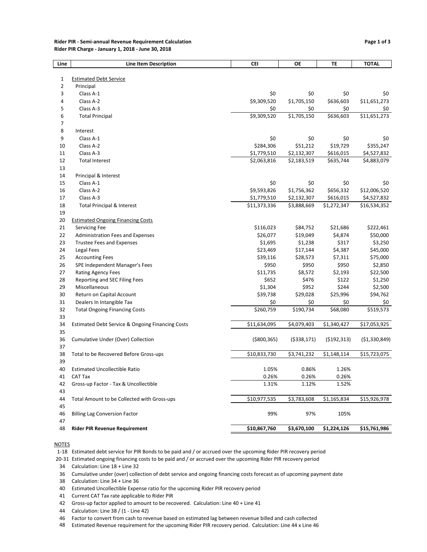#### Rider PIR - Semi-annual Revenue Requirement Calculation **Page 1 of 3** and 2008 and 2009 and 2009 and 2009 and 200 Rider PIR Charge - January 1, 2018 - June 30, 2018

| Line | <b>Line Item Description</b>                     | CEI           | ОE           | TE          | <b>TOTAL</b>   |
|------|--------------------------------------------------|---------------|--------------|-------------|----------------|
|      |                                                  |               |              |             |                |
| 1    | <b>Estimated Debt Service</b>                    |               |              |             |                |
| 2    | Principal                                        |               |              |             |                |
| 3    | Class A-1                                        | \$0           | \$0          | \$0         | \$0            |
| 4    | Class A-2                                        | \$9,309,520   | \$1,705,150  | \$636,603   | \$11,651,273   |
| 5    | Class A-3                                        | \$0           | \$0          | \$0         | \$0            |
| 6    | <b>Total Principal</b>                           | \$9,309,520   | \$1,705,150  | \$636,603   | \$11,651,273   |
| 7    |                                                  |               |              |             |                |
| 8    | Interest                                         |               |              |             |                |
| 9    | Class A-1                                        | \$0           | \$0          | \$0         | \$0            |
| 10   | Class A-2                                        | \$284,306     | \$51,212     | \$19,729    | \$355,247      |
| 11   | Class A-3                                        | \$1,779,510   | \$2,132,307  | \$616,015   | \$4,527,832    |
| 12   | <b>Total Interest</b>                            | \$2,063,816   | \$2,183,519  | \$635,744   | \$4,883,079    |
| 13   |                                                  |               |              |             |                |
| 14   | Principal & Interest                             |               |              |             |                |
| 15   | Class A-1                                        | \$0           | \$0          | \$0         | \$0            |
| 16   | Class A-2                                        | \$9,593,826   | \$1,756,362  | \$656,332   | \$12,006,520   |
| 17   | Class A-3                                        | \$1,779,510   | \$2,132,307  | \$616,015   | \$4,527,832    |
| 18   | <b>Total Principal &amp; Interest</b>            | \$11,373,336  | \$3,888,669  | \$1,272,347 | \$16,534,352   |
| 19   |                                                  |               |              |             |                |
| 20   | <b>Estimated Ongoing Financing Costs</b>         |               |              |             |                |
| 21   | <b>Servicing Fee</b>                             | \$116,023     | \$84,752     | \$21,686    | \$222,461      |
| 22   | Administration Fees and Expenses                 | \$26,077      | \$19,049     | \$4,874     | \$50,000       |
| 23   | <b>Trustee Fees and Expenses</b>                 | \$1,695       | \$1,238      | \$317       | \$3,250        |
| 24   | Legal Fees                                       | \$23,469      | \$17,144     | \$4,387     | \$45,000       |
| 25   | <b>Accounting Fees</b>                           | \$39,116      | \$28,573     | \$7,311     | \$75,000       |
| 26   | SPE Independent Manager's Fees                   | \$950         | \$950        | \$950       | \$2,850        |
| 27   | <b>Rating Agency Fees</b>                        | \$11,735      | \$8,572      | \$2,193     | \$22,500       |
| 28   | Reporting and SEC Filing Fees                    | \$652         | \$476        | \$122       | \$1,250        |
| 29   | Miscellaneous                                    | \$1,304       | \$952        | \$244       | \$2,500        |
| 30   | Return on Capital Account                        | \$39,738      | \$29,028     | \$25,996    | \$94,762       |
| 31   | Dealers In Intangible Tax                        | \$0           | \$0          | \$0         | \$0            |
| 32   | <b>Total Ongoing Financing Costs</b>             | \$260,759     | \$190,734    | \$68,080    | \$519,573      |
| 33   |                                                  |               |              |             |                |
| 34   | Estimated Debt Service & Ongoing Financing Costs | \$11,634,095  | \$4,079,403  | \$1,340,427 | \$17,053,925   |
| 35   |                                                  |               |              |             |                |
| 36   | Cumulative Under (Over) Collection               | ( \$800, 365) | ( \$338,171) | (5192, 313) | ( \$1,330,849) |
| 37   |                                                  |               |              |             |                |
| 38   | Total to be Recovered Before Gross-ups           | \$10,833,730  | \$3,741,232  | \$1,148,114 | \$15,723,075   |
| 39   |                                                  |               |              |             |                |
| 40   | <b>Estimated Uncollectible Ratio</b>             | 1.05%         | 0.86%        | 1.26%       |                |
| 41   | CAT Tax                                          | 0.26%         | 0.26%        | 0.26%       |                |
| 42   | Gross-up Factor - Tax & Uncollectible            | 1.31%         | 1.12%        | 1.52%       |                |
| 43   |                                                  |               |              |             |                |
| 44   | Total Amount to be Collected with Gross-ups      | \$10,977,535  | \$3,783,608  | \$1,165,834 | \$15,926,978   |
| 45   |                                                  |               |              |             |                |
| 46   | <b>Billing Lag Conversion Factor</b>             | 99%           | 97%          | 105%        |                |
| 47   |                                                  |               |              |             |                |
| 48   | <b>Rider PIR Revenue Requirement</b>             | \$10,867,760  | \$3,670,100  | \$1,224,126 | \$15,761,986   |
|      |                                                  |               |              |             |                |

**NOTES** 

1-18 Estimated debt service for PIR Bonds to be paid and / or accrued over the upcoming Rider PIR recovery period

20-31 Estimated ongoing financing costs to be paid and / or accrued over the upcoming Rider PIR recovery period

Calculation: Line 18 + Line 32

Cumulative under (over) collection of debt service and ongoing financing costs forecast as of upcoming payment date

Calculation: Line 34 + Line 36

Current CAT Tax rate applicable to Rider PIR

Gross-up factor applied to amount to be recovered. Calculation: Line 40 + Line 41

Calculation: Line 38 / (1 - Line 42)

Factor to convert from cash to revenue based on estimated lag between revenue billed and cash collected

Estimated Revenue requirement for the upcoming Rider PIR recovery period. Calculation: Line 44 x Line 46

Estimated Uncollectible Expense ratio for the upcoming Rider PIR recovery period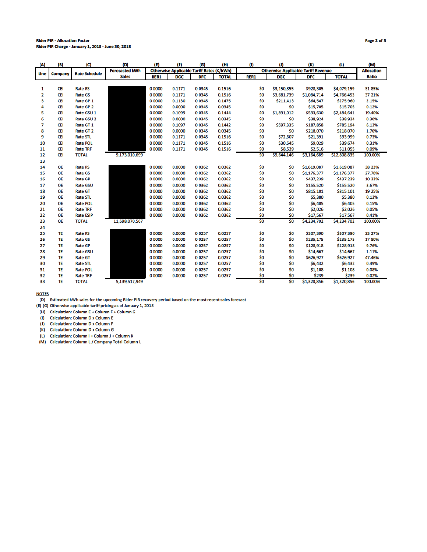#### **Rider PIR - Allocation Factor** Rider PIR Charge - January 1, 2018 - June 30, 2018

| (A)  | (B)        | (C)                  | (D)                   | (E)                                              | (F)        | (G)        | (H)                                        | (1)  | (1)         | (K)               | (1)          | (M)          |
|------|------------|----------------------|-----------------------|--------------------------------------------------|------------|------------|--------------------------------------------|------|-------------|-------------------|--------------|--------------|
| Line | Company    | <b>Rate Schedule</b> | <b>Forecasted kWh</b> | <b>Otherwise Applicable Tariff Rates (¢/kWh)</b> |            |            | <b>Otherwise Applicable Tariff Revenue</b> |      |             | <b>Allocation</b> |              |              |
|      |            |                      | <b>Sales</b>          | <b>RER1</b>                                      | <b>DGC</b> | <b>DFC</b> | <b>TOTAL</b>                               | RER1 | <b>DGC</b>  | <b>DFC</b>        | <b>TOTAL</b> | <b>Ratio</b> |
|      |            |                      |                       |                                                  |            |            |                                            |      |             |                   |              |              |
| 1    | <b>CEI</b> | <b>Rate RS</b>       |                       | 0 0000                                           | 0.1171     | 00345      | 0.1516                                     | \$0  | \$3,150,855 | \$928,305         | \$4,079,159  | 3185%        |
| 2    | <b>CEI</b> | <b>Rate GS</b>       |                       | 0 0000                                           | 0.1171     | 00345      | 0.1516                                     | \$0  | \$3,681,739 | \$1,084,714       | \$4,766,453  | 37 21%       |
| 3    | <b>CEI</b> | Rate GP <sub>1</sub> |                       | 0 0000                                           | 0.1130     | 00345      | 0.1475                                     | \$0  | \$211,413   | \$64,547          | \$275,960    | 2.15%        |
| 4    | <b>CEI</b> | Rate GP <sub>2</sub> |                       | 0 0000                                           | 0.0000     | 00345      | 0.0345                                     | \$0  | \$0         | \$15,705          | \$15,705     | 0.12%        |
| 5    | <b>CEI</b> | Rate GSU 1           |                       | 0 0000                                           | 0.1099     | 00345      | 0.1444                                     | \$0  | \$1,891,012 | \$593,630         | \$2,484,641  | 19.40%       |
| 6    | <b>CEI</b> | Rate GSU 2           |                       | 0 0000                                           | 0.0000     | 00345      | 0.0345                                     | \$0  | \$0         | \$38,924          | \$38,924     | 0.30%        |
| 7    | <b>CEI</b> | Rate GT 1            |                       | 0 0000                                           | 0.1097     | 00345      | 0.1442                                     | \$0  | \$597,335   | \$187,858         | \$785,194    | 6.13%        |
| 8    | <b>CEI</b> | Rate GT <sub>2</sub> |                       | 0 0000                                           | 0.0000     | 00345      | 0.0345                                     | \$0  | \$0         | \$218,070         | \$218,070    | 1.70%        |
| 9    | <b>CEI</b> | <b>Rate STL</b>      |                       | 0 0000                                           | 0.1171     | 00345      | 0.1516                                     | \$0  | \$72,607    | \$21,391          | \$93,999     | 0.73%        |
| 10   | <b>CEI</b> | <b>Rate POL</b>      |                       | 0 0000                                           | 0.1171     | 00345      | 0.1516                                     | \$0  | \$30,645    | \$9,029           | \$39,674     | 0.31%        |
| 11   | <b>CEI</b> | <b>Rate TRF</b>      |                       | 0 0000                                           | 0.1171     | 0 0 3 4 5  | 0.1516                                     | \$0  | \$8,539     | \$2,516           | \$11,055     | 0.09%        |
| 12   | <b>CEI</b> | <b>TOTAL</b>         | 9,173,010,699         |                                                  |            |            |                                            | \$0  | \$9,644,146 | \$3,164,689       | \$12,808,835 | 100.00%      |
| 13   |            |                      |                       |                                                  |            |            |                                            |      |             |                   |              |              |
| 14   | <b>OE</b>  | <b>Rate RS</b>       |                       | 0 0000                                           | 0.0000     | 00362      | 0.0362                                     | \$0  | \$0         | \$1,619,087       | \$1,619,087  | 38 23%       |
| 15   | <b>OE</b>  | <b>Rate GS</b>       |                       | 0 0000                                           | 0.0000     | 00362      | 0.0362                                     | \$0  | \$0         | \$1,176,377       | \$1,176,377  | 27.78%       |
| 16   | <b>OE</b>  | <b>Rate GP</b>       |                       | 0 0000                                           | 0.0000     | 00362      | 0.0362                                     | \$0  | \$0         | \$437,239         | \$437,239    | 10 33%       |
| 17   | <b>OE</b>  | <b>Rate GSU</b>      |                       | 0 0000                                           | 0.0000     | 00362      | 0.0362                                     | \$0  | \$0         | \$155,520         | \$155,520    | 3.67%        |
| 18   | <b>OE</b>  | <b>Rate GT</b>       |                       | 0 0000                                           | 0.0000     | 00362      | 0.0362                                     | \$0  | \$0         | \$815,101         | \$815,101    | 19 25%       |
| 19   | <b>OE</b>  | <b>Rate STL</b>      |                       | 0 0000                                           | 0.0000     | 00362      | 0.0362                                     | \$0  | \$0         | \$5,380           | \$5,380      | 0.13%        |
| 20   | <b>OE</b>  | <b>Rate POL</b>      |                       | 0 0000                                           | 0.0000     | 00362      | 0.0362                                     | \$0  | \$0         | \$6,405           | \$6,405      | 0.15%        |
| 21   | <b>OE</b>  | <b>Rate TRF</b>      |                       | 0 0000                                           | 0.0000     | 00362      | 0.0362                                     | \$0  | \$0         | \$2,026           | \$2,026      | 0.05%        |
| 22   | <b>OE</b>  | <b>Rate ESIP</b>     |                       | 0 0000                                           | 0.0000     | 00362      | 0.0362                                     | \$0  | \$0         | \$17,567          | \$17,567     | 0.41%        |
| 23   | <b>OE</b>  | <b>TOTAL</b>         | 11,698,070,567        |                                                  |            |            |                                            | \$0  | \$0         | \$4,234,702       | \$4,234,702  | 100.00%      |
| 24   |            |                      |                       |                                                  |            |            |                                            |      |             |                   |              |              |
| 25   | TE         | <b>Rate RS</b>       |                       | 0 0000                                           | 0.0000     | 00257      | 0.0257                                     | \$0  | \$0         | \$307,390         | \$307,390    | 23 27%       |
| 26   | TE         | <b>Rate GS</b>       |                       | 0 0000                                           | 0.0000     | 00257      | 0.0257                                     | \$0  | \$0         | \$235,175         | \$235,175    | 1780%        |
| 27   | TE         | <b>Rate GP</b>       |                       | 0 0000                                           | 0.0000     | 00257      | 0.0257                                     | \$0  | \$0         | \$128,918         | \$128,918    | 9.76%        |
| 28   | TE         | <b>Rate GSU</b>      |                       | 0 0000                                           | 0.0000     | 00257      | 0.0257                                     | \$0  | \$0         | \$14,667          | \$14,667     | 1.11%        |
| 29   | TE         | <b>Rate GT</b>       |                       | 0 0000                                           | 0.0000     | 00257      | 0.0257                                     | \$0  | \$0         | \$626,927         | \$626,927    | 47.46%       |
| 30   | TE         | <b>Rate STL</b>      |                       | 0 0000                                           | 0.0000     | 00257      | 0.0257                                     | \$0  | \$0         | \$6,432           | \$6,432      | 0.49%        |
| 31   | TE         | <b>Rate POL</b>      |                       | 0 0000                                           | 0.0000     | 00257      | 0.0257                                     | \$0  | \$0         | \$1,108           | \$1,108      | 0.08%        |
| 32   | TE         | <b>Rate TRF</b>      |                       | 0 0000                                           | 0.0000     | 0 0 2 5 7  | 0.0257                                     | \$0  | \$0         | \$239             | \$239        | 0.02%        |
| 33   | TE         | <b>TOTAL</b>         | 5,139,517,949         |                                                  |            |            |                                            | \$0  | \$0         | \$1,320,856       | \$1,320,856  | 100.00%      |
|      |            |                      |                       |                                                  |            |            |                                            |      |             |                   |              |              |

Page 2 of 3

**NOTES** 

(D) Estimated kWh sales for the upcoming Rider PIR recovery period based on the most recent sales forecast

(E)-(G) Otherwise applicable tariff pricing as of January 1, 2018

(H) Calculation: Column E + Column F + Column G

(I) Calculation: Column D x Column E

(J) Calculation: Column D x Column F

(K) Calculation: Column D x Column G

(L) Calculation: Column I + Column J + Column K

(M) Calculation: Column L / Company Total Column L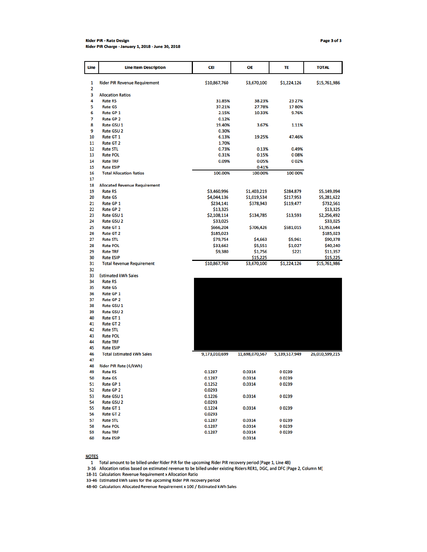#### **Rider PIR - Rate Design** Rider PIR Charge - January 1, 2018 - June 30, 2018

| Line     | <b>Line Item Description</b>         | CEI              | OE               | TE              | <b>TOTAL</b>   |
|----------|--------------------------------------|------------------|------------------|-----------------|----------------|
| 1        | <b>Rider PIR Revenue Requirement</b> | \$10,867,760     | \$3,670,100      | \$1,224,126     | \$15,761,986   |
| 2        |                                      |                  |                  |                 |                |
| 3        | <b>Allocation Ratios</b>             |                  |                  |                 |                |
| 4        | <b>Rate RS</b>                       | 31.85%           | 38.23%           | 23 27%          |                |
| 5        | <b>Rate GS</b>                       | 37.21%           | 27.78%           | 1780%           |                |
| 6        | Rate GP 1                            | 2.15%            | 10.33%           | 9.76%           |                |
| 7        | Rate GP <sub>2</sub>                 | 0.12%            |                  |                 |                |
| 8<br>9   | Rate GSU 1<br>Rate GSU 2             | 19.40%<br>0.30%  | 3.67%            | 1.11%           |                |
| 10       | Rate GT 1                            | 6.13%            | 19.25%           | 47.46%          |                |
| 11       | <b>Rate GT 2</b>                     | 1.70%            |                  |                 |                |
| 12       | <b>Rate STL</b>                      | 0.73%            | 0.13%            | 0.49%           |                |
| 13       | <b>Rate POL</b>                      | 0.31%            | 0.15%            | 008%            |                |
| 14       | <b>Rate TRF</b>                      | 0.09%            | 0.05%            | 002%            |                |
| 15       | <b>Rate ESIP</b>                     |                  | 0.41%            |                 |                |
| 16       | <b>Total Allocation Ratios</b>       | 100.00%          | 100.00%          | 100 00%         |                |
| 17       |                                      |                  |                  |                 |                |
| 18       | <b>Allocated Revenue Requirement</b> |                  |                  |                 |                |
| 19       | <b>Rate RS</b>                       | \$3,460,996      | \$1,403,219      | \$284,879       | \$5,149,094    |
| 20       | <b>Rate GS</b>                       | \$4,044,136      | \$1,019,534      | \$217,953       | \$5,281,622    |
| 21       | Rate GP 1                            | \$234,141        | \$378,943        | \$119,477       | \$732,561      |
| 22       | Rate GP <sub>2</sub>                 | \$13,325         |                  |                 | \$13,325       |
| 23       | Rate GSU 1                           | \$2,108,114      | \$134,785        | \$13,593        | \$2,256,492    |
| 24       | <b>Rate GSU 2</b>                    | \$33,025         |                  |                 | \$33,025       |
| 25       | Rate GT 1                            | \$666,204        | \$706,426        | \$581,015       | \$1,953,644    |
| 26       | Rate GT <sub>2</sub>                 | \$185,023        |                  |                 | \$185,023      |
| 27       | <b>Rate STL</b>                      | \$79,754         | \$4,663          | \$5,961         | \$90,378       |
| 28       | <b>Rate POL</b>                      | \$33,662         | \$5,551          | \$1,027         | \$40,240       |
| 29       | <b>Rate TRF</b>                      | \$9,380          | \$1,756          | \$221           | \$11,357       |
| 30       | <b>Rate ESIP</b>                     |                  | \$15,225         |                 | \$15,225       |
| 31       | <b>Total Revenue Requirement</b>     | \$10,867,760     | \$3,670,100      | \$1,224,126     | \$15,761,986   |
| 32<br>33 | <b>Estimated kWh Sales</b>           |                  |                  |                 |                |
| 34       | <b>Rate RS</b>                       |                  |                  |                 |                |
| 35       | <b>Rate GS</b>                       |                  |                  |                 |                |
| 36       | Rate GP 1                            |                  |                  |                 |                |
| 37       | Rate GP <sub>2</sub>                 |                  |                  |                 |                |
| 38       | Rate GSU 1                           |                  |                  |                 |                |
| 39       | Rate GSU 2                           |                  |                  |                 |                |
| 40       | Rate GT <sub>1</sub>                 |                  |                  |                 |                |
| 41       | Rate GT <sub>2</sub>                 |                  |                  |                 |                |
| 42       | <b>Rate STL</b>                      |                  |                  |                 |                |
| 43       | <b>Rate POL</b>                      |                  |                  |                 |                |
| 44       | <b>Rate TRF</b>                      |                  |                  |                 |                |
| 45       | <b>Rate ESIP</b>                     |                  |                  |                 |                |
| 46       | <b>Total Estimated kWh Sales</b>     | 9,173,010,699    | 11,698,070,567   | 5,139,517,949   | 26,010,599,215 |
| 47       |                                      |                  |                  |                 |                |
| 48       | Rider PIR Rate (C/kWh)               |                  |                  |                 |                |
| 49       | <b>Rate RS</b>                       | 0.1287           | 0.0314           | 00239           |                |
| 50       | <b>Rate GS</b>                       | 0.1287           | 0.0314           | 00239           |                |
| 51       | Rate GP 1                            | 0.1252           | 0.0314           | 00239           |                |
| 52       | Rate GP <sub>2</sub>                 | 0.0293           |                  |                 |                |
| 53       | Rate GSU 1                           | 0.1226           | 0.0314           | 00239           |                |
| 54       | Rate GSU 2                           | 0.0293           |                  |                 |                |
| 55       | Rate GT 1                            | 0.1224           | 0.0314           | 00239           |                |
| 56       | Rate GT <sub>2</sub>                 | 0.0293           |                  |                 |                |
| 57<br>58 | <b>Rate STL</b><br><b>Pate POL</b>   | 0.1287<br>0.1287 | 0.0314<br>0.0314 | 00239<br>n nasa |                |

**NOTES** 

59

60

**Rate TRF** 

**Rate ESIP** 

1 Total amount to be billed under Rider PIR for the upcoming Rider PIR recovery period (Page 1, Line 48)

3-16 Allocation ratios based on estimated revenue to be billed under existing Riders RER1, DGC, and DFC (Page 2, Column M)

0.1287

0.0314

0.0314

00239

18-31 Calculation: Revenue Requirement x Allocation Ratio

33-46 Estimated kWh sales for the upcoming Rider PIR recovery period

48-60 Calculation: Allocated Revenue Requirement x 100 / Estimated kWh Sales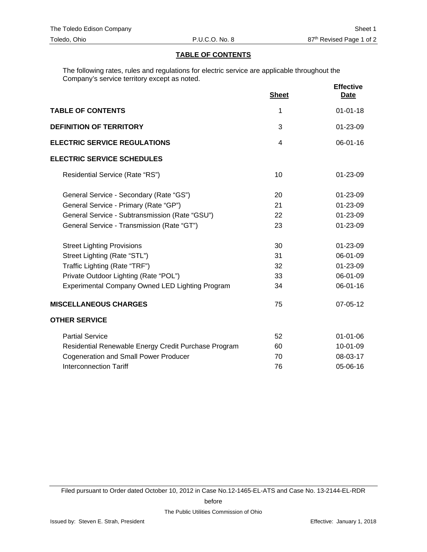## **TABLE OF CONTENTS**

The following rates, rules and regulations for electric service are applicable throughout the Company's service territory except as noted.

|                                                      | <b>Sheet</b>   | <b>Effective</b><br>Date |
|------------------------------------------------------|----------------|--------------------------|
| <b>TABLE OF CONTENTS</b>                             | 1              | $01 - 01 - 18$           |
| <b>DEFINITION OF TERRITORY</b>                       | 3              | 01-23-09                 |
| <b>ELECTRIC SERVICE REGULATIONS</b>                  | $\overline{4}$ | $06 - 01 - 16$           |
| <b>ELECTRIC SERVICE SCHEDULES</b>                    |                |                          |
| Residential Service (Rate "RS")                      | 10             | 01-23-09                 |
| General Service - Secondary (Rate "GS")              | 20             | $01 - 23 - 09$           |
| General Service - Primary (Rate "GP")                | 21             | 01-23-09                 |
| General Service - Subtransmission (Rate "GSU")       | 22             | 01-23-09                 |
| General Service - Transmission (Rate "GT")           | 23             | 01-23-09                 |
| <b>Street Lighting Provisions</b>                    | 30             | 01-23-09                 |
| Street Lighting (Rate "STL")                         | 31             | 06-01-09                 |
| Traffic Lighting (Rate "TRF")                        | 32             | 01-23-09                 |
| Private Outdoor Lighting (Rate "POL")                | 33             | 06-01-09                 |
| Experimental Company Owned LED Lighting Program      | 34             | 06-01-16                 |
| <b>MISCELLANEOUS CHARGES</b>                         | 75             | 07-05-12                 |
| <b>OTHER SERVICE</b>                                 |                |                          |
| <b>Partial Service</b>                               | 52             | $01 - 01 - 06$           |
| Residential Renewable Energy Credit Purchase Program | 60             | 10-01-09                 |
| <b>Cogeneration and Small Power Producer</b>         | 70             | 08-03-17                 |
| <b>Interconnection Tariff</b>                        | 76             | 05-06-16                 |

Filed pursuant to Order dated October 10, 2012 in Case No.12-1465-EL-ATS and Case No. 13-2144-EL-RDR

before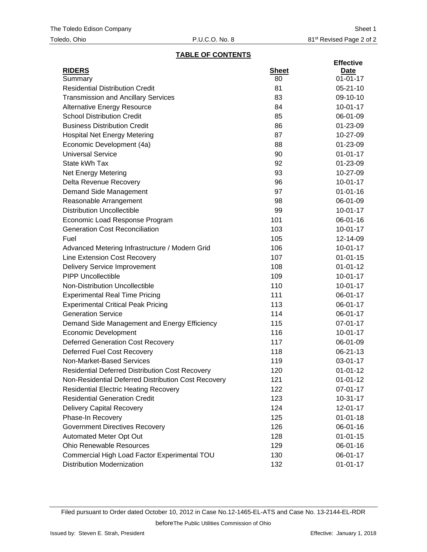### **TABLE OF CONTENTS**

|                                                        |              | <b>Effective</b> |
|--------------------------------------------------------|--------------|------------------|
| <b>RIDERS</b>                                          | <b>Sheet</b> | Date             |
| Summary                                                | 80           | $01 - 01 - 17$   |
| <b>Residential Distribution Credit</b>                 | 81           | $05 - 21 - 10$   |
| <b>Transmission and Ancillary Services</b>             | 83           | 09-10-10         |
| <b>Alternative Energy Resource</b>                     | 84           | $10-01-17$       |
| <b>School Distribution Credit</b>                      | 85           | 06-01-09         |
| <b>Business Distribution Credit</b>                    | 86           | 01-23-09         |
| <b>Hospital Net Energy Metering</b>                    | 87           | 10-27-09         |
| Economic Development (4a)                              | 88           | 01-23-09         |
| <b>Universal Service</b>                               | 90           | $01 - 01 - 17$   |
| State kWh Tax                                          | 92           | 01-23-09         |
| <b>Net Energy Metering</b>                             | 93           | 10-27-09         |
| Delta Revenue Recovery                                 | 96           | $10-01-17$       |
| Demand Side Management                                 | 97           | $01 - 01 - 16$   |
| Reasonable Arrangement                                 | 98           | 06-01-09         |
| <b>Distribution Uncollectible</b>                      | 99           | $10-01-17$       |
| Economic Load Response Program                         | 101          | 06-01-16         |
| <b>Generation Cost Reconciliation</b>                  | 103          | $10-01-17$       |
| Fuel                                                   | 105          | 12-14-09         |
| Advanced Metering Infrastructure / Modern Grid         | 106          | $10-01-17$       |
| Line Extension Cost Recovery                           | 107          | $01 - 01 - 15$   |
| <b>Delivery Service Improvement</b>                    | 108          | $01 - 01 - 12$   |
| <b>PIPP Uncollectible</b>                              | 109          | $10-01-17$       |
| Non-Distribution Uncollectible                         | 110          | $10-01-17$       |
| <b>Experimental Real Time Pricing</b>                  | 111          | 06-01-17         |
| <b>Experimental Critical Peak Pricing</b>              | 113          | 06-01-17         |
| <b>Generation Service</b>                              | 114          | 06-01-17         |
| Demand Side Management and Energy Efficiency           | 115          | 07-01-17         |
| <b>Economic Development</b>                            | 116          | $10 - 01 - 17$   |
| <b>Deferred Generation Cost Recovery</b>               | 117          | 06-01-09         |
| Deferred Fuel Cost Recovery                            | 118          | 06-21-13         |
| Non-Market-Based Services                              | 119          | 03-01-17         |
| <b>Residential Deferred Distribution Cost Recovery</b> | 120          | $01 - 01 - 12$   |
| Non-Residential Deferred Distribution Cost Recovery    | 121          | $01 - 01 - 12$   |
| <b>Residential Electric Heating Recovery</b>           | 122          | 07-01-17         |
| <b>Residential Generation Credit</b>                   | 123          | $10 - 31 - 17$   |
| <b>Delivery Capital Recovery</b>                       | 124          | 12-01-17         |
| Phase-In Recovery                                      | 125          | $01 - 01 - 18$   |
| <b>Government Directives Recovery</b>                  | 126          | 06-01-16         |
| Automated Meter Opt Out                                | 128          | $01 - 01 - 15$   |
| <b>Ohio Renewable Resources</b>                        | 129          | 06-01-16         |
| Commercial High Load Factor Experimental TOU           | 130          | 06-01-17         |
| <b>Distribution Modernization</b>                      | 132          | $01 - 01 - 17$   |

Filed pursuant to Order dated October 10, 2012 in Case No.12-1465-EL-ATS and Case No. 13-2144-EL-RDR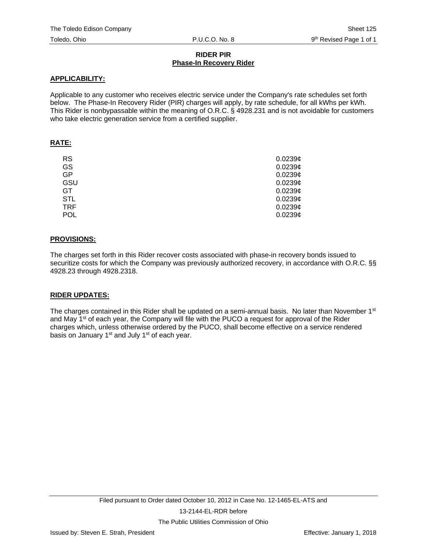# **RIDER PIR Phase-In Recovery Rider**

# **APPLICABILITY:**

Applicable to any customer who receives electric service under the Company's rate schedules set forth below. The Phase-In Recovery Rider (PIR) charges will apply, by rate schedule, for all kWhs per kWh. This Rider is nonbypassable within the meaning of O.R.C. § 4928.231 and is not avoidable for customers who take electric generation service from a certified supplier.

# **RATE:**

| <b>RS</b>  | $0.0239\mathcal{C}$ |
|------------|---------------------|
| GS         | 0.0239c             |
| <b>GP</b>  | 0.0239c             |
| GSU        | 0.0239c             |
| <b>GT</b>  | 0.0239c             |
| <b>STL</b> | 0.0239c             |
| <b>TRF</b> | 0.0239c             |
| POL        | 0.0239c             |

### **PROVISIONS:**

The charges set forth in this Rider recover costs associated with phase-in recovery bonds issued to securitize costs for which the Company was previously authorized recovery, in accordance with O.R.C. §§ 4928.23 through 4928.2318.

# **RIDER UPDATES:**

The charges contained in this Rider shall be updated on a semi-annual basis. No later than November  $1<sup>st</sup>$ and May 1<sup>st</sup> of each year, the Company will file with the PUCO a request for approval of the Rider charges which, unless otherwise ordered by the PUCO, shall become effective on a service rendered basis on January 1<sup>st</sup> and July 1<sup>st</sup> of each year.

The Public Utilities Commission of Ohio